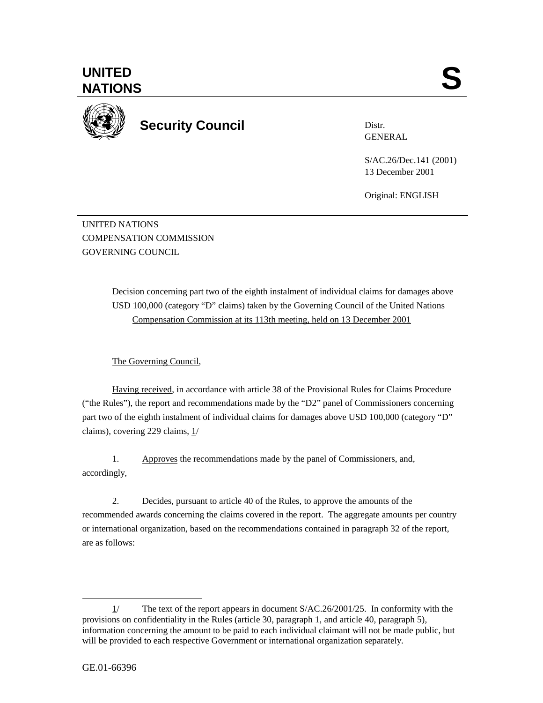

**Security Council** 

Distr. GENERAL

S/AC.26/Dec.141 (2001) 13 December 2001

Original: ENGLISH

UNITED NATIONS COMPENSATION COMMISSION GOVERNING COUNCIL

> Decision concerning part two of the eighth instalment of individual claims for damages above USD 100,000 (category "D" claims) taken by the Governing Council of the United Nations Compensation Commission at its 113th meeting, held on 13 December 2001

The Governing Council,

Having received, in accordance with article 38 of the Provisional Rules for Claims Procedure ("the Rules"), the report and recommendations made by the "D2" panel of Commissioners concerning part two of the eighth instalment of individual claims for damages above USD 100,000 (category "D" claims), covering 229 claims, 1/

1. Approves the recommendations made by the panel of Commissioners, and, accordingly,

2. Decides, pursuant to article 40 of the Rules, to approve the amounts of the recommended awards concerning the claims covered in the report. The aggregate amounts per country or international organization, based on the recommendations contained in paragraph 32 of the report, are as follows:

 $\overline{a}$ 

 $1/$  The text of the report appears in document S/AC.26/2001/25. In conformity with the provisions on confidentiality in the Rules (article 30, paragraph 1, and article 40, paragraph 5), information concerning the amount to be paid to each individual claimant will not be made public, but will be provided to each respective Government or international organization separately.